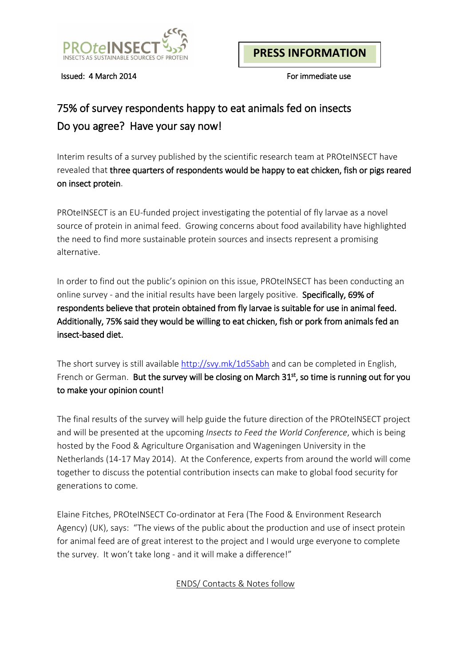

Issued: 4 March 2014 For immediate use

## 75% of survey respondents happy to eat animals fed on insects Do you agree? Have your say now!

Interim results of a survey published by the scientific research team at PROteINSECT have revealed that three quarters of respondents would be happy to eat chicken, fish or pigs reared on insect protein.

PROteINSECT is an EU-funded project investigating the potential of fly larvae as a novel source of protein in animal feed. Growing concerns about food availability have highlighted the need to find more sustainable protein sources and insects represent a promising alternative.

In order to find out the public's opinion on this issue, PROteINSECT has been conducting an online survey - and the initial results have been largely positive. Specifically, 69% of respondents believe that protein obtained from fly larvae is suitable for use in animal feed. Additionally, 75% said they would be willing to eat chicken, fish or pork from animals fed an insect-based diet.

The short survey is still available<http://svy.mk/1d5Sabh> and can be completed in English, French or German. But the survey will be closing on March 31<sup>st</sup>, so time is running out for you to make your opinion count!

The final results of the survey will help guide the future direction of the PROteINSECT project and will be presented at the upcoming *Insects to Feed the World Conference*, which is being hosted by the Food & Agriculture Organisation and Wageningen University in the Netherlands (14-17 May 2014). At the Conference, experts from around the world will come together to discuss the potential contribution insects can make to global food security for generations to come.

Elaine Fitches, PROteINSECT Co-ordinator at Fera (The Food & Environment Research Agency) (UK), says: "The views of the public about the production and use of insect protein for animal feed are of great interest to the project and I would urge everyone to complete the survey. It won't take long - and it will make a difference!"

ENDS/ Contacts & Notes follow